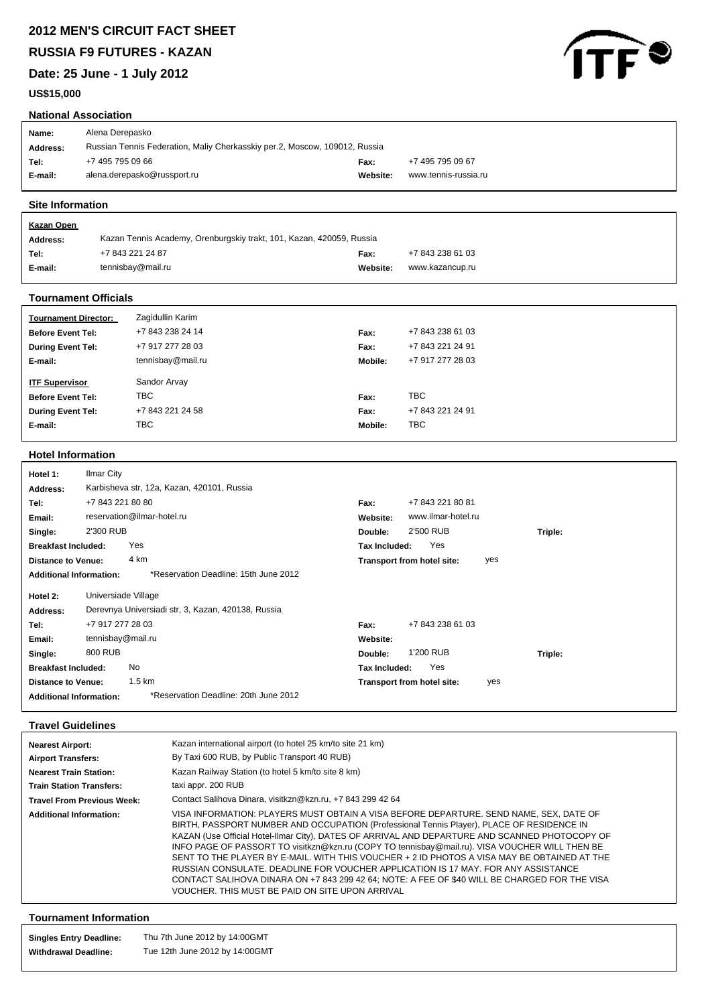**RUSSIA F9 FUTURES - KAZAN**

**Date: 25 June - 1 July 2012**

# **US\$15,000**



# **National Association**

| Name:    | Alena Derepasko                                                            |          |                      |
|----------|----------------------------------------------------------------------------|----------|----------------------|
| Address: | Russian Tennis Federation, Maliy Cherkasskiy per.2, Moscow, 109012, Russia |          |                      |
| Tel:     | +7 495 795 09 66                                                           | Fax:     | +7 495 795 09 67     |
| E-mail:  | alena.derepasko@russport.ru                                                | Website: | www.tennis-russia.ru |
|          |                                                                            |          |                      |

## **Site Information**

| <u>Kazan Open</u> |                                                                      |          |                  |
|-------------------|----------------------------------------------------------------------|----------|------------------|
| Address:          | Kazan Tennis Academy, Orenburgskiy trakt, 101, Kazan, 420059, Russia |          |                  |
| Tel:              | +7 843 221 24 87                                                     | Fax:     | +7 843 238 61 03 |
| E-mail:           | tennisbay@mail.ru                                                    | Website: | www.kazancup.ru  |
|                   |                                                                      |          |                  |

## **Tournament Officials**

| <b>Tournament Director:</b> | Zagidullin Karim  |         |                  |
|-----------------------------|-------------------|---------|------------------|
| <b>Before Event Tel:</b>    | +7 843 238 24 14  | Fax:    | +7 843 238 61 03 |
| <b>During Event Tel:</b>    | +7 917 277 28 03  | Fax:    | +7 843 221 24 91 |
| E-mail:                     | tennisbay@mail.ru | Mobile: | +7 917 277 28 03 |
|                             |                   |         |                  |
| <b>ITF Supervisor</b>       | Sandor Arvay      |         |                  |
| <b>Before Event Tel:</b>    | <b>TBC</b>        | Fax:    | <b>TBC</b>       |
| <b>During Event Tel:</b>    | +7 843 221 24 58  | Fax:    | +7 843 221 24 91 |
| E-mail:                     | <b>TBC</b>        | Mobile: | <b>TBC</b>       |

## **Hotel Information**

| Hotel 1:                       | Ilmar City                                         |                                   |
|--------------------------------|----------------------------------------------------|-----------------------------------|
| Address:                       | Karbisheva str, 12a, Kazan, 420101, Russia         |                                   |
| Tel:                           | +7 843 221 80 80                                   | +7 843 221 80 81<br>Fax:          |
| Email:                         | reservation@ilmar-hotel.ru                         | www.ilmar-hotel.ru<br>Website:    |
| Single:                        | 2'300 RUB                                          | 2'500 RUB<br>Double:<br>Triple:   |
| <b>Breakfast Included:</b>     | Yes                                                | Yes<br>Tax Included:              |
| <b>Distance to Venue:</b>      | 4 km                                               | Transport from hotel site:<br>yes |
| <b>Additional Information:</b> | *Reservation Deadline: 15th June 2012              |                                   |
| Hotel 2:                       | Universiade Village                                |                                   |
| Address:                       | Derevnya Universiadi str, 3, Kazan, 420138, Russia |                                   |
| Tel:                           | +7 917 277 28 03                                   | +7 843 238 61 03<br>Fax:          |
| Email:                         | tennisbay@mail.ru                                  | Website:                          |
| Single:                        | 800 RUB                                            | 1'200 RUB<br>Double:<br>Triple:   |
| <b>Breakfast Included:</b>     | <b>No</b>                                          | Yes<br>Tax Included:              |
| <b>Distance to Venue:</b>      | 1.5 km                                             | Transport from hotel site:<br>yes |
| <b>Additional Information:</b> | *Reservation Deadline: 20th June 2012              |                                   |

# **Travel Guidelines**

| <b>Nearest Airport:</b><br><b>Airport Transfers:</b><br><b>Nearest Train Station:</b><br><b>Train Station Transfers:</b><br><b>Travel From Previous Week:</b><br><b>Additional Information:</b> | Kazan international airport (to hotel 25 km/to site 21 km)<br>By Taxi 600 RUB, by Public Transport 40 RUB)<br>Kazan Railway Station (to hotel 5 km/to site 8 km)<br>taxi appr. 200 RUB<br>Contact Salihova Dinara, visitkzn@kzn.ru, +7 843 299 42 64<br>VISA INFORMATION: PLAYERS MUST OBTAIN A VISA BEFORE DEPARTURE. SEND NAME, SEX, DATE OF<br>BIRTH, PASSPORT NUMBER AND OCCUPATION (Professional Tennis Player), PLACE OF RESIDENCE IN<br>KAZAN (Use Official Hotel-Ilmar City), DATES OF ARRIVAL AND DEPARTURE AND SCANNED PHOTOCOPY OF<br>INFO PAGE OF PASSORT TO visitkzn@kzn.ru (COPY TO tennisbay@mail.ru). VISA VOUCHER WILL THEN BE |
|-------------------------------------------------------------------------------------------------------------------------------------------------------------------------------------------------|-------------------------------------------------------------------------------------------------------------------------------------------------------------------------------------------------------------------------------------------------------------------------------------------------------------------------------------------------------------------------------------------------------------------------------------------------------------------------------------------------------------------------------------------------------------------------------------------------------------------------------------------------|
|                                                                                                                                                                                                 | SENT TO THE PLAYER BY E-MAIL. WITH THIS VOUCHER + 2 ID PHOTOS A VISA MAY BE OBTAINED AT THE<br>RUSSIAN CONSULATE. DEADLINE FOR VOUCHER APPLICATION IS 17 MAY. FOR ANY ASSISTANCE<br>CONTACT SALIHOVA DINARA ON +7 843 299 42 64; NOTE: A FEE OF \$40 WILL BE CHARGED FOR THE VISA<br>VOUCHER. THIS MUST BE PAID ON SITE UPON ARRIVAL                                                                                                                                                                                                                                                                                                            |

# **Tournament Information**

| <b>Singles Entry Deadline:</b> | Thu 7th June 2012 by 14:00GMT  |
|--------------------------------|--------------------------------|
| <b>Withdrawal Deadline:</b>    | Tue 12th June 2012 by 14:00GMT |